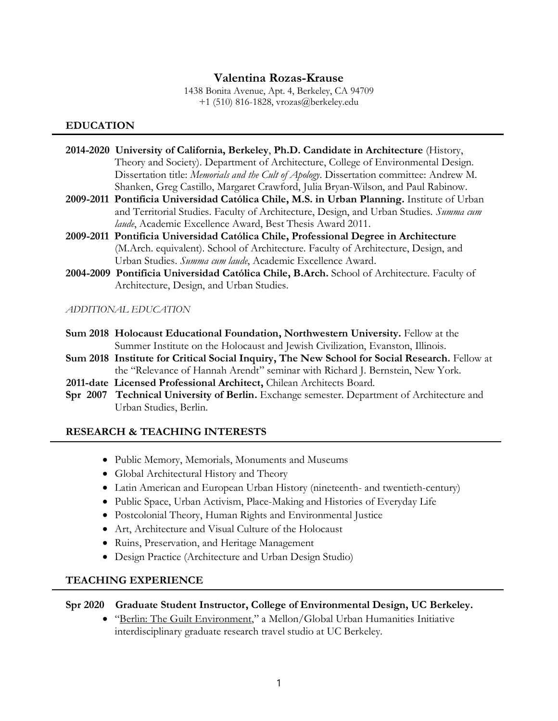# **Valentina Rozas-Krause**

1438 Bonita Avenue, Apt. 4, Berkeley, CA 94709 +1 (510) 816-1828, vrozas@berkeley.edu

## **EDUCATION**

- **2014-2020 University of California, Berkeley**, **Ph.D. Candidate in Architecture** (History, Theory and Society). Department of Architecture, College of Environmental Design. Dissertation title: *Memorials and the Cult of Apology*. Dissertation committee: Andrew M. Shanken, Greg Castillo, Margaret Crawford, Julia Bryan-Wilson, and Paul Rabinow.
- **2009-2011 Pontificia Universidad Católica Chile, M.S. in Urban Planning.** Institute of Urban and Territorial Studies. Faculty of Architecture, Design, and Urban Studies. *Summa cum laude*, Academic Excellence Award, Best Thesis Award 2011.
- **2009-2011 Pontificia Universidad Católica Chile, Professional Degree in Architecture** (M.Arch. equivalent). School of Architecture. Faculty of Architecture, Design, and Urban Studies. *Summa cum laude*, Academic Excellence Award.
- **2004-2009 Pontificia Universidad Católica Chile, B.Arch.** School of Architecture. Faculty of Architecture, Design, and Urban Studies.

*ADDITIONAL EDUCATION*

- **Sum 2018 Holocaust Educational Foundation, Northwestern University.** Fellow at the Summer Institute on the Holocaust and Jewish Civilization, Evanston, Illinois.
- **Sum 2018 Institute for Critical Social Inquiry, The New School for Social Research.** Fellow at the "Relevance of Hannah Arendt" seminar with Richard J. Bernstein, New York.
- **2011-date Licensed Professional Architect,** Chilean Architects Board.
- **Spr 2007 Technical University of Berlin.** Exchange semester. Department of Architecture and Urban Studies, Berlin.

### **RESEARCH & TEACHING INTERESTS**

- Public Memory, Memorials, Monuments and Museums
- Global Architectural History and Theory
- Latin American and European Urban History (nineteenth- and twentieth-century)
- Public Space, Urban Activism, Place-Making and Histories of Everyday Life
- Postcolonial Theory, Human Rights and Environmental Justice
- Art, Architecture and Visual Culture of the Holocaust
- Ruins, Preservation, and Heritage Management
- Design Practice (Architecture and Urban Design Studio)

# **TEACHING EXPERIENCE**

### **Spr 2020 Graduate Student Instructor, College of Environmental Design, UC Berkeley.**

• "Berlin: The Guilt Environment," a Mellon/Global Urban Humanities Initiative interdisciplinary graduate research travel studio at UC Berkeley.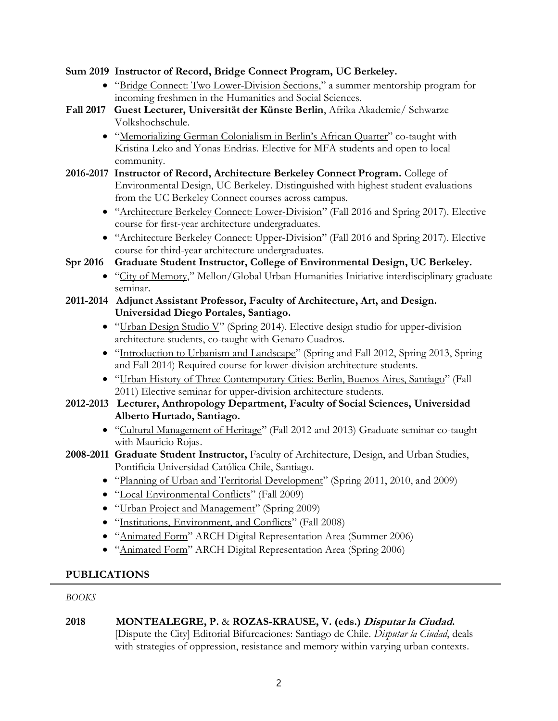## **Sum 2019 Instructor of Record, Bridge Connect Program, UC Berkeley.**

- "Bridge Connect: Two Lower-Division Sections," a summer mentorship program for incoming freshmen in the Humanities and Social Sciences.
- **Fall 2017 Guest Lecturer, Universität der Künste Berlin**, Afrika Akademie/ Schwarze Volkshochschule.
	- "Memorializing German Colonialism in Berlin's African Quarter" co-taught with Kristina Leko and Yonas Endrias. Elective for MFA students and open to local community.
- **2016-2017 Instructor of Record, Architecture Berkeley Connect Program.** College of Environmental Design, UC Berkeley. Distinguished with highest student evaluations from the UC Berkeley Connect courses across campus.
	- "Architecture Berkeley Connect: Lower-Division" (Fall 2016 and Spring 2017). Elective course for first-year architecture undergraduates.
	- "Architecture Berkeley Connect: Upper-Division" (Fall 2016 and Spring 2017). Elective course for third-year architecture undergraduates.

# **Spr 2016 Graduate Student Instructor, College of Environmental Design, UC Berkeley.**

- "City of Memory," Mellon/Global Urban Humanities Initiative interdisciplinary graduate seminar.
- **2011-2014 Adjunct Assistant Professor, Faculty of Architecture, Art, and Design. Universidad Diego Portales, Santiago.** 
	- "Urban Design Studio V" (Spring 2014). Elective design studio for upper-division architecture students, co-taught with Genaro Cuadros.
	- "Introduction to Urbanism and Landscape" (Spring and Fall 2012, Spring 2013, Spring and Fall 2014) Required course for lower-division architecture students.
	- "Urban History of Three Contemporary Cities: Berlin, Buenos Aires, Santiago" (Fall 2011) Elective seminar for upper-division architecture students.
- **2012-2013 Lecturer, Anthropology Department, Faculty of Social Sciences, Universidad Alberto Hurtado, Santiago.**
	- "Cultural Management of Heritage" (Fall 2012 and 2013) Graduate seminar co-taught with Mauricio Rojas.
- **2008-2011 Graduate Student Instructor,** Faculty of Architecture, Design, and Urban Studies, Pontificia Universidad Católica Chile, Santiago.
	- "Planning of Urban and Territorial Development" (Spring 2011, 2010, and 2009)
	- "Local Environmental Conflicts" (Fall 2009)
	- "Urban Project and Management" (Spring 2009)
	- "Institutions, Environment, and Conflicts" (Fall 2008)
	- "Animated Form" ARCH Digital Representation Area (Summer 2006)
	- "Animated Form" ARCH Digital Representation Area (Spring 2006)

# **PUBLICATIONS**

*BOOKS*

# **2018 MONTEALEGRE, P.** & **ROZAS-KRAUSE, V. (eds.) Disputar la Ciudad.**

[Dispute the City] Editorial Bifurcaciones: Santiago de Chile. *Disputar la Ciudad*, deals with strategies of oppression, resistance and memory within varying urban contexts.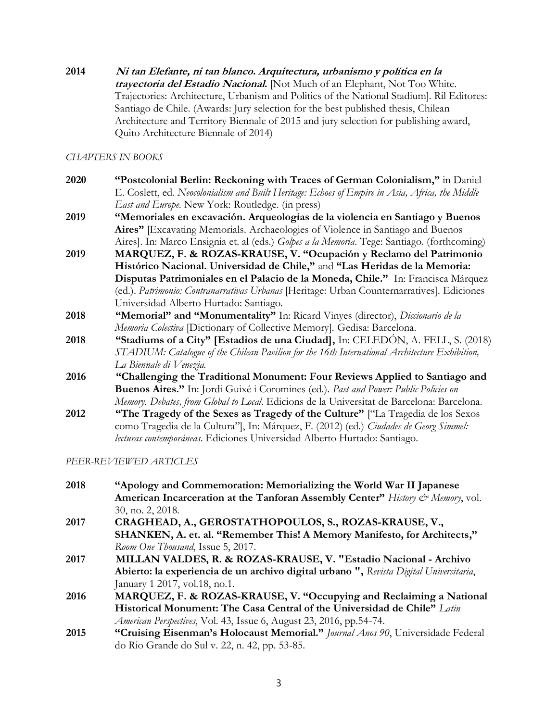## **2014 Ni tan Elefante, ni tan blanco. Arquitectura, urbanismo y política en la trayectoria del Estadio Nacional.** [Not Much of an Elephant, Not Too White. Trajectories: Architecture, Urbanism and Politics of the National Stadium]. Ril Editores: Santiago de Chile. (Awards: Jury selection for the best published thesis, Chilean Architecture and Territory Biennale of 2015 and jury selection for publishing award, Quito Architecture Biennale of 2014)

*CHAPTERS IN BOOKS*

- **2020 "Postcolonial Berlin: Reckoning with Traces of German Colonialism,"** in Daniel E. Coslett, ed. *Neocolonialism and Built Heritage: Echoes of Empire in Asia, Africa, the Middle East and Europe*. New York: Routledge. (in press)
- **2019 "Memoriales en excavación. Arqueologías de la violencia en Santiago y Buenos Aires"** [Excavating Memorials. Archaeologies of Violence in Santiago and Buenos Aires]. In: Marco Ensignia et. al (eds.) *Golpes a la Memoria*. Tege: Santiago. (forthcoming)
- **2019 MARQUEZ, F. & ROZAS-KRAUSE, V. "Ocupación y Reclamo del Patrimonio Histórico Nacional. Universidad de Chile,"** and **"Las Heridas de la Memoria: Disputas Patrimoniales en el Palacio de la Moneda, Chile."** In: Francisca Márquez (ed.). *Patrimonio: Contranarrativas Urbanas* [Heritage: Urban Counternarratives]*.* Ediciones Universidad Alberto Hurtado: Santiago.
- **2018 "Memorial" and "Monumentality"** In: Ricard Vinyes (director), *Diccionario de la Memoria Colectiva* [Dictionary of Collective Memory]. Gedisa: Barcelona.
- **2018 "Stadiums of a City" [Estadios de una Ciudad],** In: CELEDÓN, A. FELL, S. (2018) *STADIUM: Catalogue of the Chilean Pavilion for the 16th International Architecture Exhibition, La Biennale di Venezia.*
- **2016 "Challenging the Traditional Monument: Four Reviews Applied to Santiago and Buenos Aires."** In: Jordi Guixé i Coromines (ed.). *Past and Power: Public Policies on Memory. Debates, from Global to Local*. Edicions de la Universitat de Barcelona: Barcelona.
- **2012 "The Tragedy of the Sexes as Tragedy of the Culture"** ["La Tragedia de los Sexos como Tragedia de la Cultura"], In: Márquez, F. (2012) (ed.) *Ciudades de Georg Simmel: lecturas contemporáneas*. Ediciones Universidad Alberto Hurtado: Santiago.

*PEER-REVIEWED ARTICLES*

| 2018 | "Apology and Commemoration: Memorializing the World War II Japanese                    |
|------|----------------------------------------------------------------------------------------|
|      | American Incarceration at the Tanforan Assembly Center" History & Memory, vol.         |
|      | 30, no. 2, 2018.                                                                       |
| 2017 | CRAGHEAD, A., GEROSTATHOPOULOS, S., ROZAS-KRAUSE, V.,                                  |
|      | SHANKEN, A. et. al. "Remember This! A Memory Manifesto, for Architects,"               |
|      | Room One Thousand, Issue 5, 2017.                                                      |
| 2017 | MILLAN VALDES, R. & ROZAS-KRAUSE, V. "Estadio Nacional - Archivo                       |
|      | Abierto: la experiencia de un archivo digital urbano ", Revista Digital Universitaria, |
|      | January 1 2017, vol.18, no.1.                                                          |
| 2016 | MARQUEZ, F. & ROZAS-KRAUSE, V. "Occupying and Reclaiming a National                    |
|      | Historical Monument: The Casa Central of the Universidad de Chile" Latin               |
|      | American Perspectives, Vol. 43, Issue 6, August 23, 2016, pp.54-74.                    |
| 2015 | "Cruising Eisenman's Holocaust Memorial." Journal Anos 90, Universidade Federal        |

3

do Rio Grande do Sul v. 22, n. 42, pp. 53-85.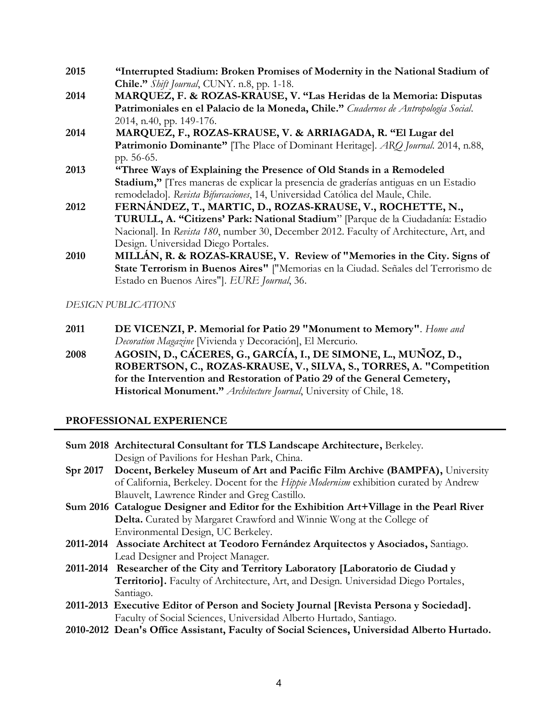- **2015 "Interrupted Stadium: Broken Promises of Modernity in the National Stadium of Chile."** *Shift Journal*, CUNY. n.8, pp. 1-18.
- **2014 MARQUEZ, F. & ROZAS-KRAUSE, V. "Las Heridas de la Memoria: Disputas Patrimoniales en el Palacio de la Moneda, Chile."** *Cuadernos de Antropología Social*. 2014, n.40, pp. 149-176.
- **2014 MARQUEZ, F., ROZAS-KRAUSE, V. & ARRIAGADA, R. "El Lugar del Patrimonio Dominante"** [The Place of Dominant Heritage]. *ARQ Journal*. 2014, n.88, pp. 56-65.
- **2013 "Three Ways of Explaining the Presence of Old Stands in a Remodeled Stadium,"** [Tres maneras de explicar la presencia de graderías antiguas en un Estadio remodelado]. *Revista Bifurcaciones*, 14, Universidad Católica del Maule, Chile.
- **2012 FERNÁNDEZ, T., MARTIC, D., ROZAS-KRAUSE, V., ROCHETTE, N., TURULL, A. "Citizens' Park: National Stadium**" [Parque de la Ciudadanía: Estadio Nacional]. In *Revista 180*, number 30, December 2012. Faculty of Architecture, Art, and Design. Universidad Diego Portales.
- **2010 MILLÁN, R. & ROZAS-KRAUSE, V. Review of "Memories in the City. Signs of State Terrorism in Buenos Aires"** ["Memorias en la Ciudad. Señales del Terrorismo de Estado en Buenos Aires"]. *EURE Journal*, 36.

*DESIGN PUBLICATIONS*

- **2011 DE VICENZI, P. Memorial for Patio 29 "Monument to Memory"**. *Home and Decoration Magazine* [Vivienda y Decoración], El Mercurio.
- **2008 AGOSIN, D., CÁCERES, G., GARCÍA, I., DE SIMONE, L., MUÑOZ, D., ROBERTSON, C., ROZAS-KRAUSE, V., SILVA, S., TORRES, A. "Competition for the Intervention and Restoration of Patio 29 of the General Cemetery, Historical Monument."** *Architecture Journal*, University of Chile, 18.

# **PROFESSIONAL EXPERIENCE**

|                 | Sum 2018 Architectural Consultant for TLS Landscape Architecture, Berkeley.              |
|-----------------|------------------------------------------------------------------------------------------|
|                 | Design of Pavilions for Heshan Park, China.                                              |
| <b>Spr 2017</b> | Docent, Berkeley Museum of Art and Pacific Film Archive (BAMPFA), University             |
|                 | of California, Berkeley. Docent for the Hippie Modernism exhibition curated by Andrew    |
|                 | Blauvelt, Lawrence Rinder and Greg Castillo.                                             |
|                 | Sum 2016 Catalogue Designer and Editor for the Exhibition Art+Village in the Pearl River |
|                 | <b>Delta.</b> Curated by Margaret Crawford and Winnie Wong at the College of             |
|                 | Environmental Design, UC Berkeley.                                                       |
|                 | 2011-2014 Associate Architect at Teodoro Fernández Arquitectos y Asociados, Santiago.    |
|                 | Lead Designer and Project Manager.                                                       |
|                 | 2011-2014 Researcher of the City and Territory Laboratory [Laboratorio de Ciudad y       |
|                 | Territorio]. Faculty of Architecture, Art, and Design. Universidad Diego Portales,       |
|                 | Santiago.                                                                                |
|                 | 2011-2013 Executive Editor of Person and Society Journal [Revista Persona y Sociedad].   |
|                 | Faculty of Social Sciences, Universidad Alberto Hurtado, Santiago.                       |

**2010-2012 Dean's Office Assistant, Faculty of Social Sciences, Universidad Alberto Hurtado.**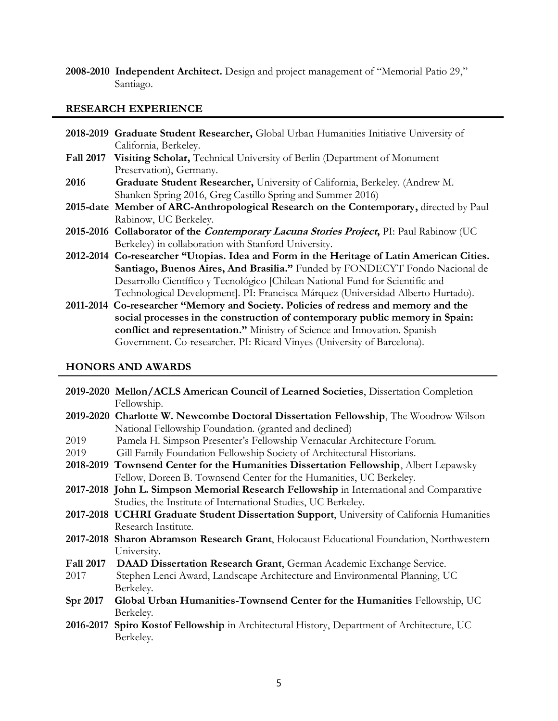**2008-2010 Independent Architect.** Design and project management of "Memorial Patio 29," Santiago.

### **RESEARCH EXPERIENCE**

- **2018-2019 Graduate Student Researcher,** Global Urban Humanities Initiative University of California, Berkeley.
- **Fall 2017 Visiting Scholar,** Technical University of Berlin (Department of Monument Preservation), Germany.
- **2016 Graduate Student Researcher,** University of California, Berkeley. (Andrew M. Shanken Spring 2016, Greg Castillo Spring and Summer 2016)
- **2015-date Member of ARC-Anthropological Research on the Contemporary,** directed by Paul Rabinow, UC Berkeley.
- **2015-2016 Collaborator of the Contemporary Lacuna Stories Project,** PI: Paul Rabinow (UC Berkeley) in collaboration with Stanford University.
- **2012-2014 Co-researcher "Utopias. Idea and Form in the Heritage of Latin American Cities. Santiago, Buenos Aires, And Brasilia."** Funded by FONDECYT Fondo Nacional de Desarrollo Científico y Tecnológico [Chilean National Fund for Scientific and Technological Development]. PI: Francisca Márquez (Universidad Alberto Hurtado).
- **2011-2014 Co-researcher "Memory and Society. Policies of redress and memory and the social processes in the construction of contemporary public memory in Spain: conflict and representation."** Ministry of Science and Innovation. Spanish Government. Co-researcher. PI: Ricard Vinyes (University of Barcelona).

### **HONORS AND AWARDS**

|                  | 2019-2020 Mellon/ACLS American Council of Learned Societies, Dissertation Completion<br>Fellowship. |
|------------------|-----------------------------------------------------------------------------------------------------|
|                  | 2019-2020 Charlotte W. Newcombe Doctoral Dissertation Fellowship, The Woodrow Wilson                |
|                  | National Fellowship Foundation. (granted and declined)                                              |
| 2019             | Pamela H. Simpson Presenter's Fellowship Vernacular Architecture Forum.                             |
| 2019             | Gill Family Foundation Fellowship Society of Architectural Historians.                              |
|                  | 2018-2019 Townsend Center for the Humanities Dissertation Fellowship, Albert Lepawsky               |
|                  | Fellow, Doreen B. Townsend Center for the Humanities, UC Berkeley.                                  |
|                  | 2017-2018 John L. Simpson Memorial Research Fellowship in International and Comparative             |
|                  | Studies, the Institute of International Studies, UC Berkeley.                                       |
|                  | 2017-2018 UCHRI Graduate Student Dissertation Support, University of California Humanities          |
|                  | Research Institute.                                                                                 |
|                  | 2017-2018 Sharon Abramson Research Grant, Holocaust Educational Foundation, Northwestern            |
|                  | University.                                                                                         |
| <b>Fall 2017</b> | DAAD Dissertation Research Grant, German Academic Exchange Service.                                 |
| 2017             | Stephen Lenci Award, Landscape Architecture and Environmental Planning, UC                          |
|                  | Berkeley.                                                                                           |
| Spr 2017         | Global Urban Humanities-Townsend Center for the Humanities Fellowship, UC                           |
|                  | Berkeley.                                                                                           |
| 2016-2017        | Spiro Kostof Fellowship in Architectural History, Department of Architecture, UC                    |
|                  | Berkeley.                                                                                           |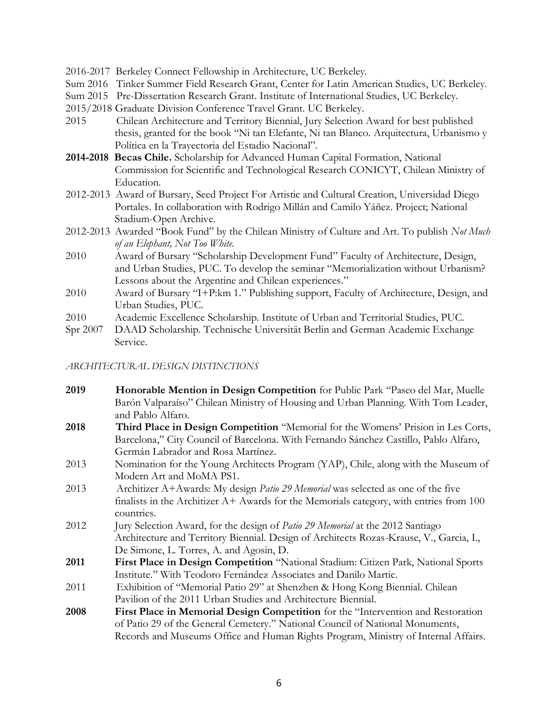2016-2017 Berkeley Connect Fellowship in Architecture, UC Berkeley.

- Sum 2016 Tinker Summer Field Research Grant, Center for Latin American Studies, UC Berkeley.
- Sum 2015 Pre-Dissertation Research Grant. Institute of International Studies, UC Berkeley.
- 2015/2018 Graduate Division Conference Travel Grant. UC Berkeley.
- 2015 Chilean Architecture and Territory Biennial, Jury Selection Award for best published thesis, granted for the book "Ni tan Elefante, Ni tan Blanco. Arquitectura, Urbanismo y Política en la Trayectoria del Estadio Nacional".
- **2014-2018 Becas Chile.** Scholarship for Advanced Human Capital Formation, National Commission for Scientific and Technological Research CONICYT, Chilean Ministry of Education.
- 2012-2013 Award of Bursary, Seed Project For Artistic and Cultural Creation, Universidad Diego Portales. In collaboration with Rodrigo Millán and Camilo Yáñez. Project; National Stadium-Open Archive.
- 2012-2013 Awarded "Book Fund" by the Chilean Ministry of Culture and Art. To publish *Not Much of an Elephant, Not Too White.*
- 2010 Award of Bursary "Scholarship Development Fund" Faculty of Architecture, Design, and Urban Studies, PUC. To develop the seminar "Memorialization without Urbanism? Lessons about the Argentine and Chilean experiences."
- 2010 Award of Bursary "I+P:km 1." Publishing support, Faculty of Architecture, Design, and Urban Studies, PUC.
- 2010 Academic Excellence Scholarship. Institute of Urban and Territorial Studies, PUC.
- Spr 2007 DAAD Scholarship. Technische Universität Berlin and German Academic Exchange Service.

*ARCHITECTURAL DESIGN DISTINCTIONS* 

| 2019 | Honorable Mention in Design Competition for Public Park "Paseo del Mar, Muelle              |
|------|---------------------------------------------------------------------------------------------|
|      | Barón Valparaíso" Chilean Ministry of Housing and Urban Planning. With Tom Leader,          |
|      | and Pablo Alfaro.                                                                           |
| 2018 | Third Place in Design Competition "Memorial for the Womens' Prision in Les Corts,           |
|      | Barcelona," City Council of Barcelona. With Fernando Sánchez Castillo, Pablo Alfaro,        |
|      | Germán Labrador and Rosa Martínez.                                                          |
| 2013 | Nomination for the Young Architects Program (YAP), Chile, along with the Museum of          |
|      | Modern Art and MoMA PS1.                                                                    |
| 2013 | Architizer A+Awards: My design Patio 29 Memorial was selected as one of the five            |
|      | finalists in the Architizer $A+$ Awards for the Memorials category, with entries from $100$ |
|      | countries.                                                                                  |
| 2012 | Jury Selection Award, for the design of Patio 29 Memorial at the 2012 Santiago              |
|      | Architecture and Territory Biennial. Design of Architects Rozas-Krause, V., Garcia, I.,     |
|      | De Simone, L. Torres, A. and Agosin, D.                                                     |
| 2011 | First Place in Design Competition "National Stadium: Citizen Park, National Sports          |
|      | Institute." With Teodoro Fernández Associates and Danilo Martic.                            |
| 2011 | Exhibition of "Memorial Patio 29" at Shenzhen & Hong Kong Biennial. Chilean                 |
|      | Pavilion of the 2011 Urban Studies and Architecture Biennial.                               |
| 2008 | First Place in Memorial Design Competition for the "Intervention and Restoration            |
|      | of Patio 29 of the General Cemetery." National Council of National Monuments,               |
|      | Records and Museums Office and Human Rights Program, Ministry of Internal Affairs.          |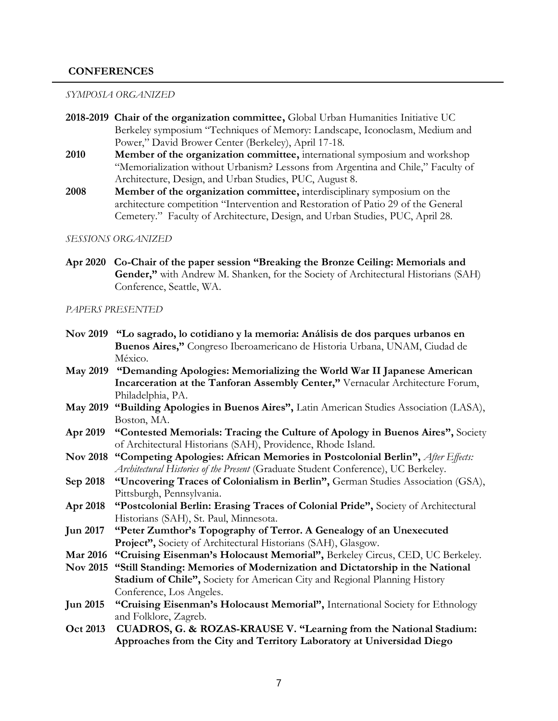### **CONFERENCES**

#### *SYMPOSIA ORGANIZED*

- **2018-2019 Chair of the organization committee,** Global Urban Humanities Initiative UC Berkeley symposium "Techniques of Memory: Landscape, Iconoclasm, Medium and Power," David Brower Center (Berkeley), April 17-18.
- **2010 Member of the organization committee,** international symposium and workshop "Memorialization without Urbanism? Lessons from Argentina and Chile," Faculty of Architecture, Design, and Urban Studies, PUC, August 8.
- **2008 Member of the organization committee,** interdisciplinary symposium on the architecture competition "Intervention and Restoration of Patio 29 of the General Cemetery." Faculty of Architecture, Design, and Urban Studies, PUC, April 28.

#### *SESSIONS ORGANIZED*

**Apr 2020 Co-Chair of the paper session "Breaking the Bronze Ceiling: Memorials and Gender,"** with Andrew M. Shanken, for the Society of Architectural Historians (SAH) Conference, Seattle, WA.

#### *PAPERS PRESENTED*

- **Nov 2019 "Lo sagrado, lo cotidiano y la memoria: Análisis de dos parques urbanos en Buenos Aires,"** Congreso Iberoamericano de Historia Urbana, UNAM, Ciudad de México.
- **May 2019 "Demanding Apologies: Memorializing the World War II Japanese American Incarceration at the Tanforan Assembly Center,"** Vernacular Architecture Forum, Philadelphia, PA.
- **May 2019 "Building Apologies in Buenos Aires",** Latin American Studies Association (LASA), Boston, MA.
- **Apr 2019 "Contested Memorials: Tracing the Culture of Apology in Buenos Aires",** Society of Architectural Historians (SAH), Providence, Rhode Island.
- **Nov 2018 "Competing Apologies: African Memories in Postcolonial Berlin",** *After Effects: Architectural Histories of the Present* (Graduate Student Conference), UC Berkeley.
- **Sep 2018 "Uncovering Traces of Colonialism in Berlin",** German Studies Association (GSA), Pittsburgh, Pennsylvania.
- **Apr 2018 "Postcolonial Berlin: Erasing Traces of Colonial Pride",** Society of Architectural Historians (SAH), St. Paul, Minnesota.
- **Jun 2017 "Peter Zumthor's Topography of Terror. A Genealogy of an Unexecuted Project",** Society of Architectural Historians (SAH), Glasgow.
- **Mar 2016 "Cruising Eisenman's Holocaust Memorial",** Berkeley Circus, CED, UC Berkeley.
- **Nov 2015 "Still Standing: Memories of Modernization and Dictatorship in the National Stadium of Chile",** Society for American City and Regional Planning History Conference, Los Angeles.
- **Jun 2015 "Cruising Eisenman's Holocaust Memorial",** International Society for Ethnology and Folklore, Zagreb.
- **Oct 2013 CUADROS, G. & ROZAS-KRAUSE V. "Learning from the National Stadium: Approaches from the City and Territory Laboratory at Universidad Diego**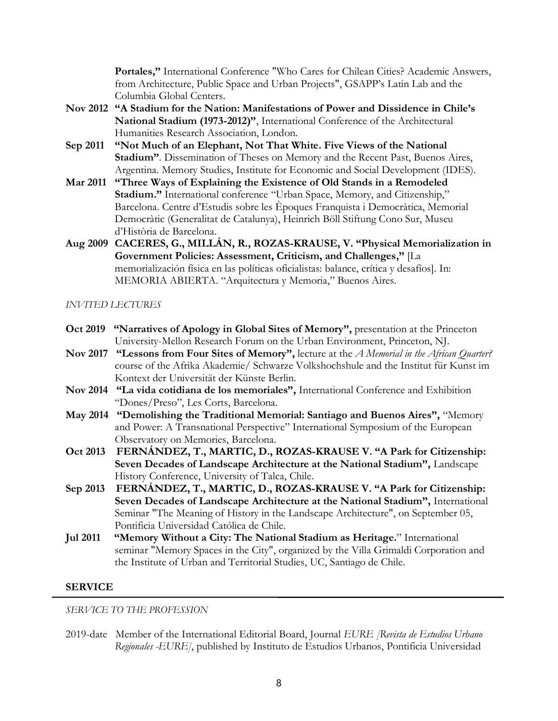**Portales,"** International Conference "Who Cares for Chilean Cities? Academic Answers, from Architecture, Public Space and Urban Projects", GSAPP's Latin Lab and the Columbia Global Centers.

- **Nov 2012 "A Stadium for the Nation: Manifestations of Power and Dissidence in Chile's National Stadium (1973-2012)"**, International Conference of the Architectural Humanities Research Association, London.
- **Sep 2011 "Not Much of an Elephant, Not That White. Five Views of the National Stadium"**. Dissemination of Theses on Memory and the Recent Past, Buenos Aires, Argentina. Memory Studies, Institute for Economic and Social Development (IDES).
- **Mar 2011 "Three Ways of Explaining the Existence of Old Stands in a Remodeled Stadium."** International conference "Urban Space, Memory, and Citizenship," Barcelona. Centre d'Estudis sobre les Èpoques Franquista i Democràtica, Memorial Democràtic (Generalitat de Catalunya), Heinrich Böll Stiftung Cono Sur, Museu d'Història de Barcelona.
- **Aug 2009 CACERES, G., MILLÁN, R., ROZAS-KRAUSE, V. "Physical Memorialization in Government Policies: Assessment, Criticism, and Challenges,"** [La memorialización física en las políticas oficialistas: balance, crítica y desafíos]. In: MEMORIA ABIERTA. "Arquitectura y Memoria," Buenos Aires.

### *INVITED LECTURES*

- **Oct 2019 "Narratives of Apology in Global Sites of Memory",** presentation at the Princeton University-Mellon Research Forum on the Urban Environment, Princeton, NJ.
- **Nov 2017 "Lessons from Four Sites of Memory",** lecture at the *A Memorial in the African Quarter?* course of the Afrika Akademie/ Schwarze Volkshochshule and the Institut für Kunst im Kontext der Universität der Künste Berlin.
- **Nov 2014 "La vida cotidiana de los memoriales",** International Conference and Exhibition "Dones/Preso", Les Corts, Barcelona.
- **May 2014 "Demolishing the Traditional Memorial: Santiago and Buenos Aires",** "Memory and Power: A Transnational Perspective" International Symposium of the European Observatory on Memories, Barcelona.
- **Oct 2013 FERNÁNDEZ, T., MARTIC, D., ROZAS-KRAUSE V. "A Park for Citizenship: Seven Decades of Landscape Architecture at the National Stadium",** Landscape History Conference, University of Talca, Chile.
- **Sep 2013 FERNÁNDEZ, T., MARTIC, D., ROZAS-KRAUSE V. "A Park for Citizenship: Seven Decades of Landscape Architecture at the National Stadium",** International Seminar "The Meaning of History in the Landscape Architecture", on September 05, Pontificia Universidad Católica de Chile.
- **Jul 2011 "Memory Without a City: The National Stadium as Heritage.**" International seminar "Memory Spaces in the City", organized by the Villa Grimaldi Corporation and the Institute of Urban and Territorial Studies, UC, Santiago de Chile.

### **SERVICE**

### *SERVICE TO THE PROFESSION*

2019-date Member of the International Editorial Board, Journal *EURE [Revista de Estudios Urbano Regionales -EURE]*, published by Instituto de Estudios Urbanos, Pontificia Universidad